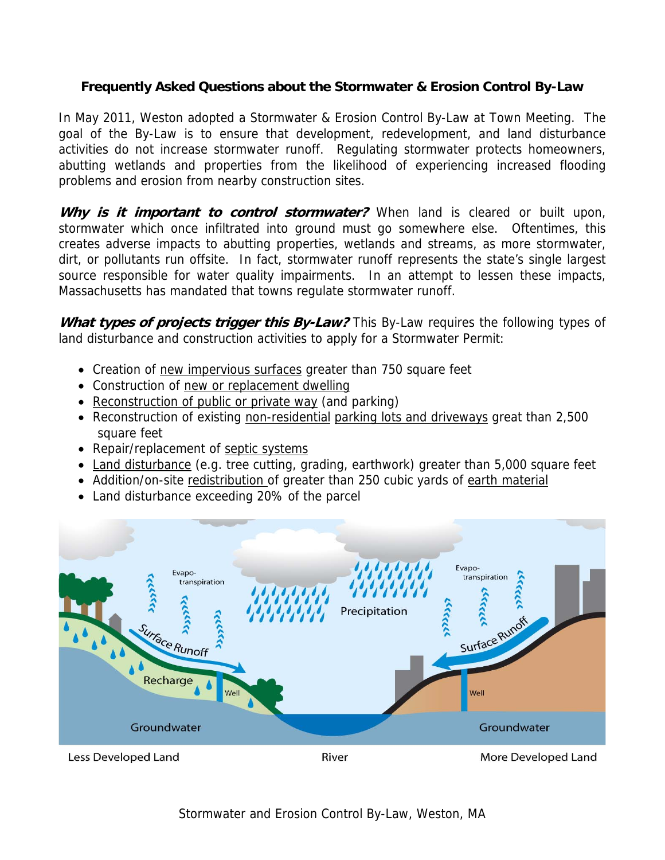# **Frequently Asked Questions about the Stormwater & Erosion Control By-Law**

In May 2011, Weston adopted a Stormwater & Erosion Control By-Law at Town Meeting. The goal of the By-Law is to ensure that development, redevelopment, and land disturbance activities do not increase stormwater runoff. Regulating stormwater protects homeowners, abutting wetlands and properties from the likelihood of experiencing increased flooding problems and erosion from nearby construction sites.

Why is it important to control stormwater? When land is cleared or built upon, stormwater which once infiltrated into ground must go somewhere else. Oftentimes, this creates adverse impacts to abutting properties, wetlands and streams, as more stormwater, dirt, or pollutants run offsite. In fact, stormwater runoff represents the state's single largest source responsible for water quality impairments. In an attempt to lessen these impacts, Massachusetts has mandated that towns regulate stormwater runoff.

What types of projects trigger this By-Law? This By-Law requires the following types of land disturbance and construction activities to apply for a Stormwater Permit:

- Creation of new impervious surfaces greater than 750 square feet
- Construction of new or replacement dwelling
- Reconstruction of public or private way (and parking)
- Reconstruction of existing non-residential parking lots and driveways great than 2,500 square feet
- Repair/replacement of septic systems
- Land disturbance (e.g. tree cutting, grading, earthwork) greater than 5,000 square feet
- Addition/on-site redistribution of greater than 250 cubic yards of earth material
- Land disturbance exceeding 20% of the parcel